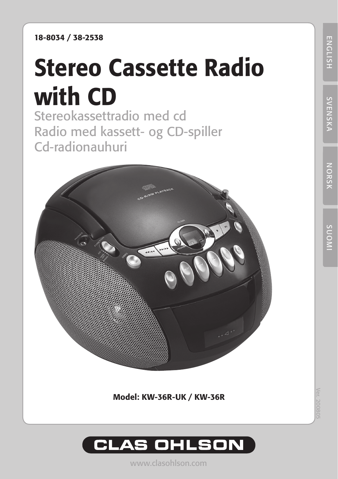18-8034 / 38-2538

# Stereo Cassette Radio with CD

Stereokassettradio med cd Radio med kassett- og CD-spiller Cd-radionauhuri



Model: KW-36R-UK / KW-36R



www.clasohlson.com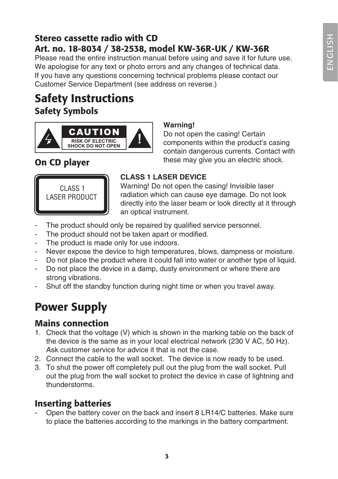### Stereo cassette radio with CD Art. no. 18-8034 / 38-2538, model KW-36R-UK / KW-36R

Please read the entire instruction manual before using and save it for future use. We apologise for any text or photo errors and any changes of technical data. If you have any questions concerning technical problems please contact our Customer Service Department (see address on reverse.)

## Safety Instructions Safety Symbols



### **Warning!**

Do not open the casing! Certain components within the product's casing contain dangerous currents. Contact with **On CD player** these may give you an electric shock.



### **CLASS 1 LASER DEVICE**

Warning! Do not open the casing! Invisible laser radiation which can cause eye damage. Do not look directly into the laser beam or look directly at it through an optical instrument.

- The product should only be repaired by qualified service personnel.
- The product should not be taken apart or modified.
- The product is made only for use indoors.
- Never expose the device to high temperatures, blows, dampness or moisture.
- Do not place the product where it could fall into water or another type of liquid.
- Do not place the device in a damp, dusty environment or where there are strong vibrations.
- Shut off the standby function during night time or when you travel away.

## Power Supply

### Mains connection

- 1. Check that the voltage (V) which is shown in the marking table on the back of the device is the same as in your local electrical network (230 V AC, 50 Hz). Ask customer service for advice it that is not the case.
- 2. Connect the cable to the wall socket. The device is now ready to be used.
- 3. To shut the power off completely pull out the plug from the wall socket. Pull out the plug from the wall socket to protect the device in case of lightning and thunderstorms.

### Inserting batteries

- Open the battery cover on the back and insert 8 LR14/C batteries. Make sure to place the batteries according to the markings in the battery compartment.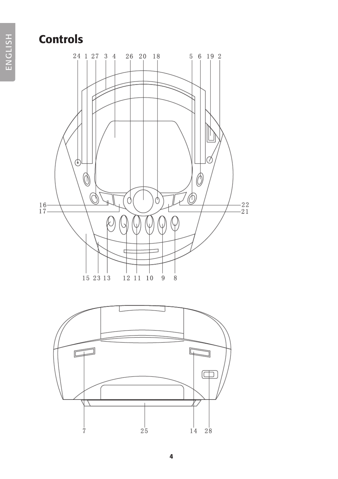## **Controls**



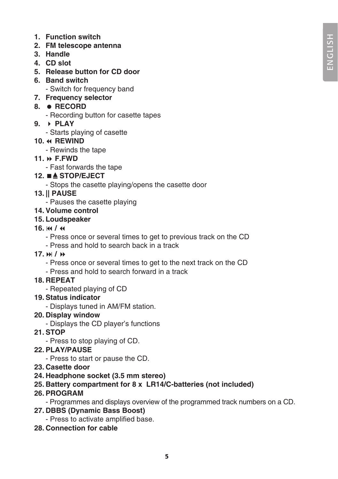- **1. Function switch**
- **2. FM telescope antenna**
- **3. Handle**
- **4. CD slot**
- **5. Release button for CD door**
- **6. Band switch**
	- Switch for frequency band
- **7. Frequency selector**

#### **8. RECORD**

- Recording button for casette tapes
- **9. PLAY**
	- Starts playing of casette

### **10. REWIND**

- Rewinds the tape
- **11. F.FWD**
	- Fast forwards the tape

### **12. STOP/EJECT**

- Stops the casette playing/opens the casette door

### **13. || PAUSE**

- Pauses the casette playing

#### **14. Volume control**

#### **15. Loudspeaker**

- **16. /** 
	- Press once or several times to get to previous track on the CD
	- Press and hold to search back in a track
- **17. /** 
	- Press once or several times to get to the next track on the CD
	- Press and hold to search forward in a track

#### **18. REPEAT**

- Repeated playing of CD

#### **19. Status indicator**

- Displays tuned in AM/FM station.

#### **20. Display window**

- Displays the CD player's functions

#### **21. STOP**

- Press to stop playing of CD.

#### **22. PLAY/PAUSE**

- Press to start or pause the CD.
- **23. Casette door**

#### **24. Headphone socket (3.5 mm stereo)**

### **25. Battery compartment for 8 x LR14/C-batteries (not included)**

#### **26. PROGRAM**

- Programmes and displays overview of the programmed track numbers on a CD.

- **27. DBBS (Dynamic Bass Boost)**
	- Press to activate amplified base.
- **28. Connection for cable**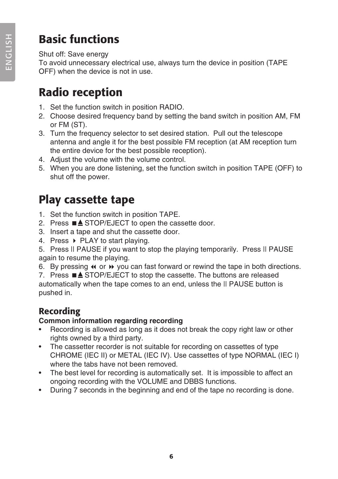## Basic functions

### Shut off: Save energy

To avoid unnecessary electrical use, always turn the device in position (TAPE OFF) when the device is not in use.

## Radio reception

- 1. Set the function switch in position RADIO.
- 2. Choose desired frequency band by setting the band switch in position AM, FM or FM (ST).
- 3. Turn the frequency selector to set desired station. Pull out the telescope antenna and angle it for the best possible FM reception (at AM reception turn the entire device for the best possible reception).
- 4. Adjust the volume with the volume control.
- 5. When you are done listening, set the function switch in position TAPE (OFF) to shut off the power.

## Play cassette tape

- 1. Set the function switch in position TAPE.
- 2. Press  $\blacksquare$  $\blacktriangle$  STOP/EJECT to open the cassette door.
- 3. Insert a tape and shut the cassette door.
- 4. Press  $\triangleright$  PLAY to start playing.

5. Press II PAUSE if you want to stop the playing temporarily. Press II PAUSE again to resume the playing.

6. By pressing  $\leftrightarrow$  or  $\leftrightarrow$  you can fast forward or rewind the tape in both directions.

7. Press  $\blacksquare$  STOP/EJECT to stop the cassette. The buttons are released

automatically when the tape comes to an end, unless the || PAUSE button is pushed in.

### Recording

### **Common information regarding recording**

- Recording is allowed as long as it does not break the copy right law or other rights owned by a third party.
- The cassetter recorder is not suitable for recording on cassettes of type CHROME (IEC II) or METAL (IEC IV). Use cassettes of type NORMAL (IEC I) where the tabs have not been removed.
- The best level for recording is automatically set. It is impossible to affect an ongoing recording with the VOLUME and DBBS functions.
- During 7 seconds in the beginning and end of the tape no recording is done.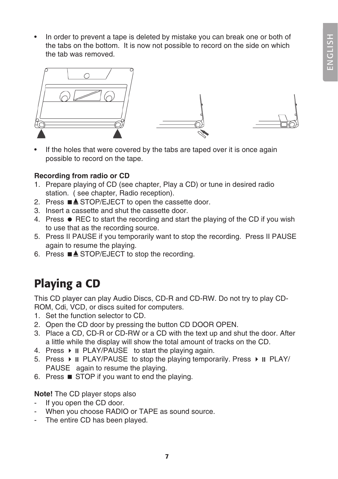• In order to prevent a tape is deleted by mistake you can break one or both of the tabs on the bottom. It is now not possible to record on the side on which the tab was removed.



If the holes that were covered by the tabs are taped over it is once again possible to record on the tape.

### **Recording from radio or CD**

- 1. Prepare playing of CD (see chapter, Play a CD) or tune in desired radio station. ( see chapter, Radio reception).
- 2. Press  $\blacksquare$  $\blacktriangle$  STOP/EJECT to open the cassette door.
- 3. Insert a cassette and shut the cassette door.
- 4. Press  $\bullet$  REC to start the recording and start the playing of the CD if you wish to use that as the recording source.
- 5. Press II PAUSE if you temporarily want to stop the recording. Press II PAUSE again to resume the playing.
- 6. Press  $\blacksquare$  $\blacktriangle$  STOP/EJECT to stop the recording.

## Playing a CD

This CD player can play Audio Discs, CD-R and CD-RW. Do not try to play CD-ROM, Cdi, VCD, or discs suited for computers.

- 1. Set the function selector to CD.
- 2. Open the CD door by pressing the button CD DOOR OPEN.
- 3. Place a CD, CD-R or CD-RW or a CD with the text up and shut the door. After a little while the display will show the total amount of tracks on the CD.
- 4. Press  $\triangleright$  II PLAY/PAUSE to start the playing again.
- 5. Press  $\triangleright$  II PLAY/PAUSE to stop the playing temporarily. Press  $\triangleright$  II PLAY/ PAUSE again to resume the playing.
- 6. Press  $\blacksquare$  STOP if you want to end the playing.

**Note!** The CD player stops also

- If you open the CD door.
- When you choose RADIO or TAPE as sound source.
- The entire CD has been played.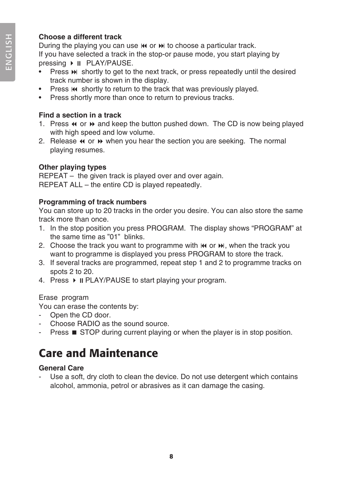### **Choose a different track**

During the playing you can use  $\mathsf{M}$  or  $\mathsf{M}$  to choose a particular track. If you have selected a track in the stop-or pause mode, you start playing by pressing ▶ II PLAY/PAUSE.

- Press  $\blacktriangleright$  shortly to get to the next track, or press repeatedly until the desired track number is shown in the display.
- Press  $\blacksquare$  shortly to return to the track that was previously played.
- Press shortly more than once to return to previous tracks.

### **Find a section in a track**

- 1. Press  $\triangleleft$  or  $\triangleright$  and keep the button pushed down. The CD is now being played with high speed and low volume.
- 2. Release  $\leftrightarrow$  or  $\leftrightarrow$  when you hear the section you are seeking. The normal playing resumes.

### **Other playing types**

REPEAT – the given track is played over and over again. REPEAT ALL – the entire CD is played repeatedly.

### **Programming of track numbers**

You can store up to 20 tracks in the order you desire. You can also store the same track more than once.

- 1. In the stop position you press PROGRAM. The display shows "PROGRAM" at the same time as "01" blinks.
- 2. Choose the track you want to programme with  $\mathbf{M}$  or  $\mathbf{M}$ , when the track you want to programme is displayed you press PROGRAM to store the track.
- 3. If several tracks are programmed, repeat step 1 and 2 to programme tracks on spots 2 to 20.
- 4. Press  $\triangleright$  II PLAY/PAUSE to start playing your program.

### Erase program

You can erase the contents by:

- Open the CD door.
- Choose RADIO as the sound source.
- **Press**  $\blacksquare$  **STOP during current playing or when the player is in stop position.**

## Care and Maintenance

### **General Care**

Use a soft, dry cloth to clean the device. Do not use detergent which contains alcohol, ammonia, petrol or abrasives as it can damage the casing.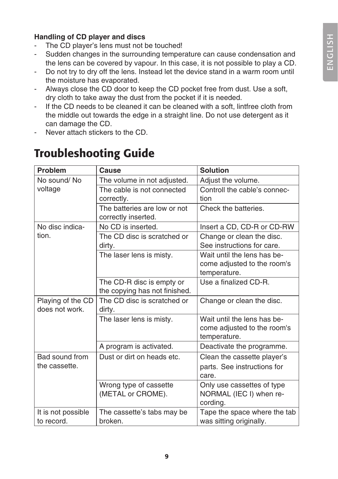### **Handling of CD player and discs**

- The CD player's lens must not be touched!
- Sudden changes in the surrounding temperature can cause condensation and the lens can be covered by vapour. In this case, it is not possible to play a CD.
- Do not try to dry off the lens. Instead let the device stand in a warm room until the moisture has evaporated.
- Always close the CD door to keep the CD pocket free from dust. Use a soft, dry cloth to take away the dust from the pocket if it is needed.
- If the CD needs to be cleaned it can be cleaned with a soft, lintfree cloth from the middle out towards the edge in a straight line. Do not use detergent as it can damage the CD.
- Never attach stickers to the CD.

| Problem                             | Cause                                                      | <b>Solution</b>                                                            |
|-------------------------------------|------------------------------------------------------------|----------------------------------------------------------------------------|
| No sound/No                         | The volume in not adjusted.                                | Adjust the volume.                                                         |
| voltage                             | The cable is not connected<br>correctly.                   | Controll the cable's connec-<br>tion                                       |
|                                     | The batteries are low or not<br>correctly inserted.        | Check the batteries.                                                       |
| No disc indica-                     | No CD is inserted.                                         | Insert a CD, CD-R or CD-RW                                                 |
| tion.                               | The CD disc is scratched or<br>dirty.                      | Change or clean the disc.<br>See instructions for care.                    |
|                                     | The laser lens is misty.                                   | Wait until the lens has be-<br>come adjusted to the room's<br>temperature. |
|                                     | The CD-R disc is empty or<br>the copying has not finished. | Use a finalized CD-R.                                                      |
| Playing of the CD<br>does not work. | The CD disc is scratched or<br>dirty.                      | Change or clean the disc.                                                  |
|                                     | The laser lens is misty.                                   | Wait until the lens has be-<br>come adjusted to the room's<br>temperature. |
|                                     | A program is activated.                                    | Deactivate the programme.                                                  |
| Bad sound from                      | Dust or dirt on heads etc.                                 | Clean the cassette player's                                                |
| the cassette.                       |                                                            | parts. See instructions for<br>care.                                       |
|                                     | Wrong type of cassette<br>(METAL or CROME).                | Only use cassettes of type<br>NORMAL (IEC I) when re-<br>cording.          |
| It is not possible<br>to record.    | The cassette's tabs may be<br>broken.                      | Tape the space where the tab<br>was sitting originally.                    |

## Troubleshooting Guide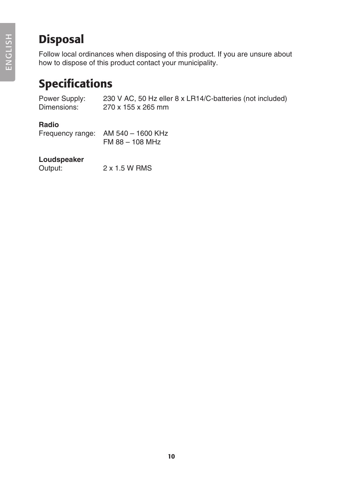## Disposal

Follow local ordinances when disposing of this product. If you are unsure about how to dispose of this product contact your municipality.

## Specifications

Power Supply: 230 V AC, 50 Hz eller 8 x LR14/C-batteries (not included) Dimensions: 270 x 155 x 265 mm

### **Radio**

| Frequency range: | AM 540 – 1600 KHz |
|------------------|-------------------|
|                  | FM 88 - 108 MHz   |

### **Loudspeaker**

| Output: | 2 x 1.5 W RMS |
|---------|---------------|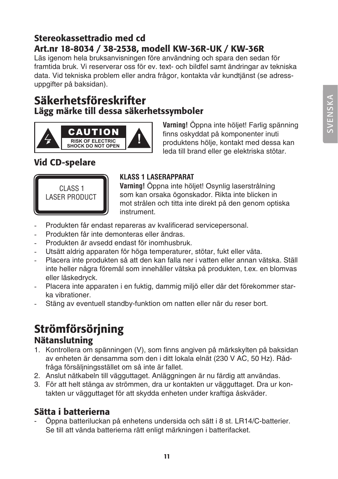### Stereokassettradio med cd Art.nr 18-8034 / 38-2538, modell KW-36R-UK / KW-36R

Läs igenom hela bruksanvisningen före användning och spara den sedan för framtida bruk. Vi reserverar oss för ev. text- och bildfel samt ändringar av tekniska data. Vid tekniska problem eller andra frågor, kontakta vår kundtjänst (se adressuppgifter på baksidan).

### Säkerhetsföreskrifter Lägg märke till dessa säkerhetssymboler



**Varning!** Öppna inte höljet! Farlig spänning finns oskyddat på komponenter inuti produktens hölje, kontakt med dessa kan leda till brand eller ge elektriska stötar.

### Vid CD-spelare



### **KLASS 1 LASERAPPARAT**

**Varning!** Öppna inte höljet! Osynlig laserstrålning som kan orsaka ögonskador. Rikta inte blicken in mot strålen och titta inte direkt på den genom optiska instrument.

- Produkten får endast repareras av kvalificerad servicepersonal.
- Produkten får inte demonteras eller ändras.
- Produkten är avsedd endast för inomhusbruk.
- Utsätt aldrig apparaten för höga temperaturer, stötar, fukt eller väta.
- Placera inte produkten så att den kan falla ner i vatten eller annan vätska. Ställ inte heller några föremål som innehåller vätska på produkten, t.ex. en blomvas eller läskedryck.
- Placera inte apparaten i en fuktig, dammig miljö eller där det förekommer starka vibrationer.
- Stäng av eventuell standby-funktion om natten eller när du reser bort.

## Strömförsörjning

### Nätanslutning

- 1. Kontrollera om spänningen (V), som finns angiven på märkskylten på baksidan av enheten är densamma som den i ditt lokala elnät (230 V AC, 50 Hz). Rådfråga försäljningsstället om så inte är fallet.
- 2. Anslut nätkabeln till vägguttaget. Anläggningen är nu färdig att användas.
- 3. För att helt stänga av strömmen, dra ur kontakten ur vägguttaget. Dra ur kontakten ur vägguttaget för att skydda enheten under kraftiga åskväder.

### Sätta i batterierna

- Öppna batteriluckan på enhetens undersida och sätt i 8 st. LR14/C-batterier. Se till att vända batterierna rätt enligt märkningen i batterifacket.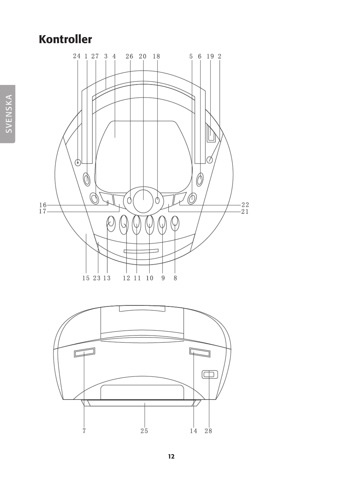## Kontroller



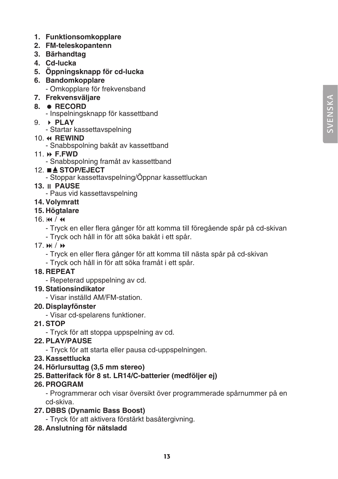SVEN SK A

SVENSKA

- **1. Funktionsomkopplare**
- **2. FM-teleskopantenn**
- **3. Bärhandtag**
- **4. Cd-lucka**
- **5. Öppningsknapp för cd-lucka**
- **6. Bandomkopplare**  - Omkopplare för frekvensband
- **7. Frekvensväljare**
- **8. RECORD**
	- Inspelningsknapp för kassettband
- 9. **PLAY**
	- Startar kassettavspelning

### 10. **REWIND**

- Snabbspolning bakåt av kassettband

### 11. **F.FWD**

- Snabbspolning framåt av kassettband
- 12. **STOP/EJECT**
	- Stoppar kassettavspelning/Öppnar kassettluckan
- **13. PAUSE**
	- Paus vid kassettavspelning
- **14. Volymratt**

### **15. Högtalare**

### $16.$   $M / 44$

- Tryck en eller flera gånger för att komma till föregående spår på cd-skivan
- Tryck och håll in för att söka bakåt i ett spår.
- 17.  $M / M$ 
	- Tryck en eller flera gånger för att komma till nästa spår på cd-skivan
	- Tryck och håll in för att söka framåt i ett spår.

### **18. REPEAT**

- Repeterad uppspelning av cd.
- **19. Stationsindikator**
	- Visar inställd AM/FM-station.

### **20. Displayfönster**

- Visar cd-spelarens funktioner.
- **21. STOP**
	- Tryck för att stoppa uppspelning av cd.

### **22. PLAY/PAUSE**

- Tryck för att starta eller pausa cd-uppspelningen.
- **23. Kassettlucka**
- **24. Hörlursuttag (3,5 mm stereo)**

### **25. Batterifack för 8 st. LR14/C-batterier (medföljer ej)**

### **26. PROGRAM**

- Programmerar och visar översikt över programmerade spårnummer på en cd-skiva.

### **27. DBBS (Dynamic Bass Boost)**

- Tryck för att aktivera förstärkt basåtergivning.
- **28. Anslutning för nätsladd**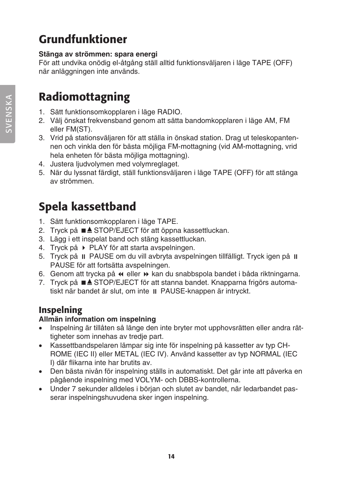## Grundfunktioner

### **Stänga av strömmen: spara energi**

För att undvika onödig el-åtgång ställ alltid funktionsväljaren i läge TAPE (OFF) när anläggningen inte används.

## Radiomottagning

- 1. Sätt funktionsomkopplaren i läge RADIO.
- 2. Välj önskat frekvensband genom att sätta bandomkopplaren i läge AM, FM eller FM(ST).
- 3. Vrid på stationsväljaren för att ställa in önskad station. Drag ut teleskopantennen och vinkla den för bästa möjliga FM-mottagning (vid AM-mottagning, vrid hela enheten för bästa möjliga mottagning).
- 4. Justera ljudvolymen med volymreglaget.
- 5. När du lyssnat färdigt, ställ funktionsväljaren i läge TAPE (OFF) för att stänga av strömmen.

## Spela kassettband

- 1. Sätt funktionsomkopplaren i läge TAPE.
- 2. Tryck på ■▲ STOP/EJECT för att öppna kassettluckan.
- 3. Lägg i ett inspelat band och stäng kassettluckan.
- 4. Tryck på PLAY för att starta avspelningen.
- 5. Tryck på  $\parallel$  PAUSE om du vill avbryta avspelningen tillfälligt. Tryck igen på  $\parallel$ PAUSE för att fortsätta avspelningen.
- 6. Genom att trycka på « eller » kan du snabbspola bandet i båda riktningarna.
- 7. Tryck på ■▲ STOP/EJECT för att stanna bandet. Knapparna frigörs automatiskt när bandet är slut, om inte  $\parallel$  PAUSE-knappen är intryckt.

### Inspelning

### **Allmän information om inspelning**

- Inspelning är tillåten så länge den inte bryter mot upphovsrätten eller andra rättigheter som innehas av tredje part.
- • Kassettbandspelaren lämpar sig inte för inspelning på kassetter av typ CH-ROME (IEC II) eller METAL (IEC IV). Använd kassetter av typ NORMAL (IEC I) där flikarna inte har brutits av.
- • Den bästa nivån för inspelning ställs in automatiskt. Det går inte att påverka en pågående inspelning med VOLYM- och DBBS-kontrollerna.
- • Under 7 sekunder alldeles i början och slutet av bandet, när ledarbandet passerar inspelningshuvudena sker ingen inspelning.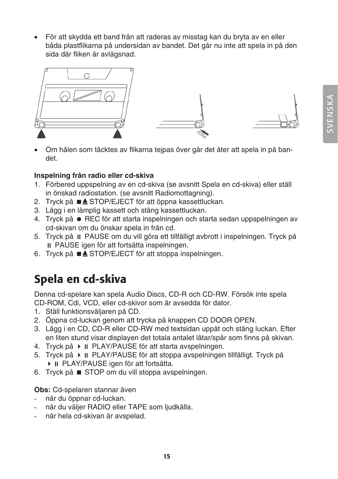För att skydda ett band från att raderas av misstag kan du bryta av en eller båda plastflikarna på undersidan av bandet. Det går nu inte att spela in på den sida där fliken är avlägsnad.



Om hålen som täcktes av flikarna tejpas över går det åter att spela in på bandet.

### **Inspelning från radio eller cd-skiva**

- 1. Förbered uppspelning av en cd-skiva (se avsnitt Spela en cd-skiva) eller ställ in önskad radiostation. (se avsnitt Radiomottagning).
- 2. Tryck på ■▲ STOP/EJECT för att öppna kassettluckan.
- 3. Lägg i en lämplig kassett och stäng kassettluckan.
- 4. Tryck på REC för att starta inspelningen och starta sedan uppspelningen av cd-skivan om du önskar spela in från cd.
- 5. Tryck på PAUSE om du vill göra ett tillfälligt avbrott i inspelningen. Tryck på PAUSE igen för att fortsätta inspelningen.
- 6. Tryck på ■▲ STOP/EJECT för att stoppa inspelningen.

## Spela en cd-skiva

Denna cd-spelare kan spela Audio Discs, CD-R och CD-RW. Försök inte spela CD-ROM, Cdi, VCD, eller cd-skivor som är avsedda för dator.

- 1. Ställ funktionsväljaren på CD.
- 2. Öppna cd-luckan genom att trycka på knappen CD DOOR OPEN.
- 3. Lägg i en CD, CD-R eller CD-RW med textsidan uppåt och stäng luckan. Efter en liten stund visar displayen det totala antalet låtar/spår som finns på skivan.
- 4. Tryck på ▶ II PLAY/PAUSE för att starta avspelningen.
- 5. Tryck på ▶ II PLAY/PAUSE för att stoppa avspelningen tillfälligt. Tryck på ▶ II PLAY/PAUSE igen för att fortsätta.
- 6. Tryck på STOP om du vill stoppa avspelningen.

#### **Obs:** Cd-spelaren stannar även

- när du öppnar cd-luckan.
- när du väljer RADIO eller TAPE som ljudkälla.
- när hela cd-skivan är avspelad.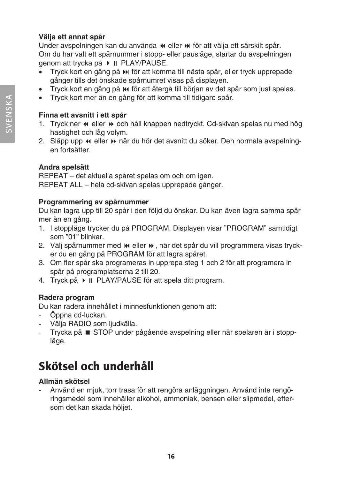### **Välja ett annat spår**

Under avspelningen kan du använda  $\mathsf{M}$  eller  $\mathsf{M}$  för att välja ett särskilt spår. Om du har valt ett spårnummer i stopp- eller pausläge, startar du avspelningen genom att trycka på ▶ II PLAY/PAUSE.

- Tryck kort en gång på  $\blacktriangleright$  för att komma till nästa spår, eller tryck upprepade gånger tills det önskade spårnumret visas på displayen.
- Tryck kort en gång på  $\mathsf{H}$  för att återgå till början av det spår som just spelas.
- Tryck kort mer än en gång för att komma till tidigare spår.

### **Finna ett avsnitt i ett spår**

- 1. Tryck ner  $\leftrightarrow$  eller  $\leftrightarrow$  och håll knappen nedtryckt. Cd-skivan spelas nu med hög hastighet och låg volym.
- 2. Släpp upp « eller » när du hör det avsnitt du söker. Den normala avspelningen fortsätter.

### **Andra spelsätt**

REPEAT – det aktuella spåret spelas om och om igen. REPEAT ALL – hela cd-skivan spelas upprepade gånger.

### **Programmering av spårnummer**

Du kan lagra upp till 20 spår i den följd du önskar. Du kan även lagra samma spår mer än en gång.

- 1. I stoppläge trycker du på PROGRAM. Displayen visar "PROGRAM" samtidigt som "01" blinkar.
- 2. Välj spårnummer med  $\mathbf{M}$  eller  $\mathbf{M}$ , när det spår du vill programmera visas trycker du en gång på PROGRAM för att lagra spåret.
- 3. Om fler spår ska programeras in upprepa steg 1 och 2 för att programera in spår på programplatserna 2 till 20.
- 4. Tryck på ▶ II PLAY/PAUSE för att spela ditt program.

### **Radera program**

Du kan radera innehållet i minnesfunktionen genom att:

- Öppna cd-luckan.
- Välja RADIO som ljudkälla.
- Trycka på STOP under pågående avspelning eller när spelaren är i stoppläge.

## Skötsel och underhåll

### **Allmän skötsel**

- Använd en mjuk, torr trasa för att rengöra anläggningen. Använd inte rengöringsmedel som innehåller alkohol, ammoniak, bensen eller slipmedel, eftersom det kan skada höljet.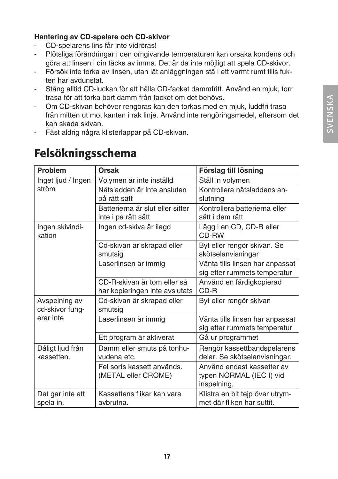### **Hantering av CD-spelare och CD-skivor**

- CD-spelarens lins får inte vidröras!
- Plötsliga förändringar i den omgivande temperaturen kan orsaka kondens och göra att linsen i din täcks av imma. Det är då inte möjligt att spela CD-skivor.
- Försök inte torka av linsen, utan låt anläggningen stå i ett varmt rumt tills fukten har avdunstat.
- Stäng alltid CD-luckan för att hålla CD-facket dammfritt. Använd en mjuk, torr trasa för att torka bort damm från facket om det behövs.
- Om CD-skivan behöver rengöras kan den torkas med en mjuk, luddfri trasa från mitten ut mot kanten i rak linje. Använd inte rengöringsmedel, eftersom det kan skada skivan.
- Fäst aldrig några klisterlappar på CD-skivan.

| Problem                          | Orsak                                                         | Förslag till lösning                                                  |
|----------------------------------|---------------------------------------------------------------|-----------------------------------------------------------------------|
| Inget ljud / Ingen               | Volymen är inte inställd                                      | Ställ in volymen                                                      |
| ström                            | Nätsladden är inte ansluten<br>på rätt sätt                   | Kontrollera nätsladdens an-<br>slutning                               |
|                                  | Batterierna är slut eller sitter<br>inte i på rätt sätt       | Kontrollera batterierna eller<br>sätt i dem rätt                      |
| Ingen skivindi-<br>kation        | Ingen cd-skiva är ilagd                                       | Lägg i en CD, CD-R eller<br>CD-RW                                     |
|                                  | Cd-skivan är skrapad eller<br>smutsia                         | Byt eller rengör skivan. Se<br>skötselanvisningar                     |
|                                  | Laserlinsen är immig                                          | Vänta tills linsen har anpassat<br>sig efter rummets temperatur       |
|                                  | CD-B-skivan är tom eller så<br>har kopieringen inte avslutats | Använd en färdigkopierad<br>$CD-R$                                    |
| Avspelning av<br>cd-skivor fung- | Cd-skivan är skrapad eller<br>smutsig                         | Byt eller rengör skivan                                               |
| erar inte                        | Laserlinsen är immig                                          | Vänta tills linsen har anpassat<br>sig efter rummets temperatur       |
|                                  | Ett program är aktiverat                                      | Gå ur programmet                                                      |
| Dåligt ljud från<br>kassetten.   | Damm eller smuts på tonhu-<br>vudena etc.                     | Rengör kassettbandspelarens<br>delar. Se skötselanvisningar.          |
|                                  | Fel sorts kassett används.<br>(METAL eller CROME)             | Använd endast kassetter av<br>typen NORMAL (IEC I) vid<br>inspelning. |
| Det går inte att<br>spela in.    | Kassettens flikar kan vara<br>avbrutna.                       | Klistra en bit tejp över utrym-<br>met där fliken har suttit.         |

## Felsökningsschema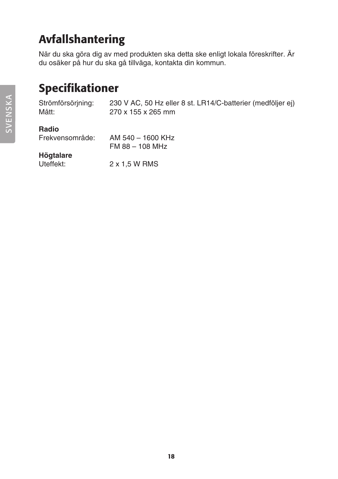## Avfallshantering

När du ska göra dig av med produkten ska detta ske enligt lokala föreskrifter. Är du osäker på hur du ska gå tillväga, kontakta din kommun.

## Specifikationer

Strömförsörjning: 230 V AC, 50 Hz eller 8 st. LR14/C-batterier (medföljer ej) Mått: 270 x 155 x 265 mm

### **Radio**

| Frekvensområde: | AM 540 - 1600 KHz |
|-----------------|-------------------|
|                 | FM 88 - 108 MHz   |

## **Högtalare**

2 x 1,5 W RMS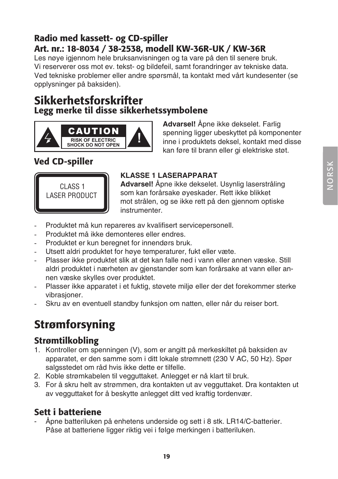### Radio med kassett- og CD-spiller Art. nr.: 18-8034 / 38-2538, modell KW-36R-UK / KW-36R

Les nøye igjennom hele bruksanvisningen og ta vare på den til senere bruk. Vi reserverer oss mot ev. tekst- og bildefeil, samt forandringer av tekniske data. Ved tekniske problemer eller andre spørsmål, ta kontakt med vårt kundesenter (se opplysninger på baksiden).

### Sikkerhetsforskrifter Legg merke til disse sikkerhetssymbolene



**Advarsel!** Åpne ikke dekselet. Farlig spenning ligger ubeskyttet på komponenter inne i produktets deksel, kontakt med disse kan føre til brann eller gi elektriske støt.

### Ved CD-spiller



### **KLASSE 1 LASERAPPARAT**

**Advarsel!** Åpne ikke dekselet. Usynlig laserstråling som kan forårsake øyeskader. Rett ikke blikket mot strålen, og se ikke rett på den gjennom optiske instrumenter.

- Produktet må kun repareres av kvalifisert servicepersonell.
- Produktet må ikke demonteres eller endres.
- Produktet er kun beregnet for innendørs bruk.
- Utsett aldri produktet for høye temperaturer, fukt eller væte.
- Plasser ikke produktet slik at det kan falle ned i vann eller annen væske. Still aldri produktet i nærheten av gjenstander som kan forårsake at vann eller annen væske skylles over produktet.
- Plasser ikke apparatet i et fuktig, støvete miljø eller der det forekommer sterke vibrasjoner.
- Skru av en eventuell standby funksjon om natten, eller når du reiser bort.

## Strømforsyning

### Strømtilkobling

- 1. Kontroller om spenningen (V), som er angitt på merkeskiltet på baksiden av apparatet, er den samme som i ditt lokale strømnett (230 V AC, 50 Hz). Spør salgsstedet om råd hvis ikke dette er tilfelle.
- 2. Koble strømkabelen til vegguttaket. Anlegget er nå klart til bruk.
- 3. For å skru helt av strømmen, dra kontakten ut av vegguttaket. Dra kontakten ut av vegguttaket for å beskytte anlegget ditt ved kraftig tordenvær.

### Sett i batteriene

Åpne batteriluken på enhetens underside og sett i 8 stk. LR14/C-batterier. Påse at batteriene ligger riktig vei i følge merkingen i batteriluken.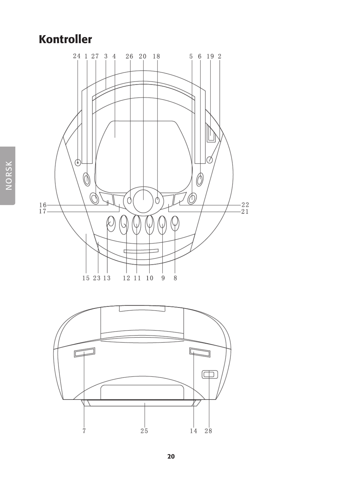## Kontroller



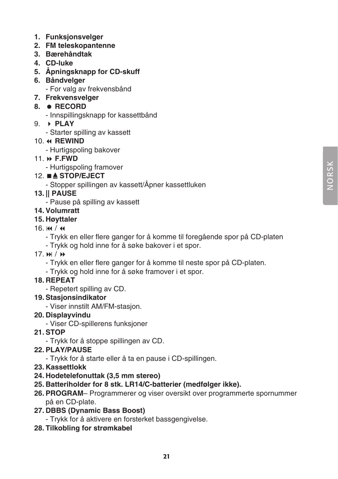- **1. Funksjonsvelger**
- **2. FM teleskopantenne**
- **3. Bærehåndtak**
- **4. CD-luke**
- **5. Åpningsknapp for CD-skuff**
- **6. Båndvelger** 
	- For valg av frekvensbånd
- **7. Frekvensvelger**

#### **8. RECORD**

- Innspillingsknapp for kassettbånd
- 9. **PLAY**
	- Starter spilling av kassett

#### 10.  $\triangleleft$  **REWIND**

- Hurtigspoling bakover
- 11. **F.FWD**
	- Hurtigspoling framover

#### 12. **STOP/EJECT**

- Stopper spillingen av kassett/Åpner kassettluken

### **13. || PAUSE**

- Pause på spilling av kassett

#### **14. Volumratt**

**15. Høyttaler**

#### $16. M / 44$

- Trykk en eller flere ganger for å komme til foregående spor på CD-platen
- Trykk og hold inne for å søke bakover i et spor.
- $17.$   $\blacktriangleright$   $\blacktriangleright$   $\blacktriangleright$   $\blacktriangleright$ 
	- Trykk en eller flere ganger for å komme til neste spor på CD-platen.
	- Trykk og hold inne for å søke framover i et spor.

#### **18. REPEAT**

- Repetert spilling av CD.

#### **19. Stasjonsindikator**

- Viser innstilt AM/FM-stasjon.

#### **20. Displayvindu**

- Viser CD-spillerens funksjoner

#### **21. STOP**

- Trykk for å stoppe spillingen av CD.

#### **22. PLAY/PAUSE**

- Trykk for å starte eller å ta en pause i CD-spillingen.
- **23. Kassettlokk**
- **24. Hodetelefonuttak (3,5 mm stereo)**
- **25. Batteriholder for 8 stk. LR14/C-batterier (medfølger ikke).**
- **26. PROGRAM** Programmerer og viser oversikt over programmerte spornummer på en CD-plate.
- **27. DBBS (Dynamic Bass Boost)**
	- Trykk for å aktivere en forsterket bassgengivelse.
- **28. Tilkobling for strømkabel**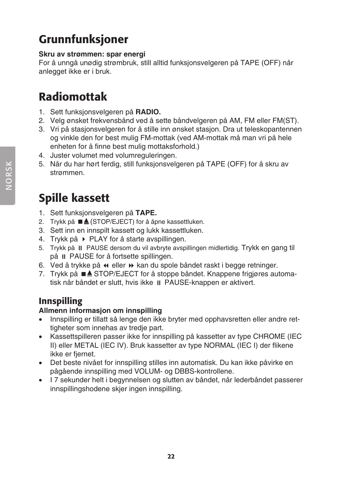## Grunnfunksjoner

### **Skru av strømmen: spar energi**

For å unngå unødig strømbruk, still alltid funksjonsvelgeren på TAPE (OFF) når anlegget ikke er i bruk.

## Radiomottak

- 1. Sett funksjonsvelgeren på **RADIO.**
- 2. Velg ønsket frekvensbånd ved å sette båndvelgeren på AM, FM eller FM(ST).
- 3. Vri på stasjonsvelgeren for å stille inn ønsket stasjon. Dra ut teleskopantennen og vinkle den for best mulig FM-mottak (ved AM-mottak må man vri på hele enheten for å finne best mulig mottaksforhold.)
- 4. Juster volumet med volumreguleringen.
- 5. Når du har hørt ferdig, still funksjonsvelgeren på TAPE (OFF) for å skru av strømmen.

## Spille kassett

- 1. Sett funksjonsvelgeren på **TAPE.**
- 2. Trykk på ■▲ (STOP/EJECT) for å åpne kassettluken.
- 3. Sett inn en innspilt kassett og lukk kassettluken.
- 4. Trykk på PLAY for å starte avspillingen.
- 5. Trykk på PAUSE dersom du vil avbryte avspillingen midlertidig. Trykk en gang til på  $\parallel$  PAUSE for å fortsette spillingen.
- 6. Ved å trykke på « eller » kan du spole båndet raskt i begge retninger.
- 7. Trykk på ■▲ STOP/EJECT for å stoppe båndet. Knappene frigiøres automatisk når båndet er slutt, hvis ikke II PAUSE-knappen er aktivert.

### Innspilling

### **Allmenn informasjon om innspilling**

- Innspilling er tillatt så lenge den ikke bryter med opphavsretten eller andre rettigheter som innehas av tredje part.
- Kassettspilleren passer ikke for innspilling på kassetter av type CHROME (IEC II) eller METAL (IEC IV). Bruk kassetter av type NORMAL (IEC I) der flikene ikke er fjernet.
- • Det beste nivået for innspilling stilles inn automatisk. Du kan ikke påvirke en pågående innspilling med VOLUM- og DBBS-kontrollene.
- • I 7 sekunder helt i begynnelsen og slutten av båndet, når lederbåndet passerer innspillingshodene skjer ingen innspilling.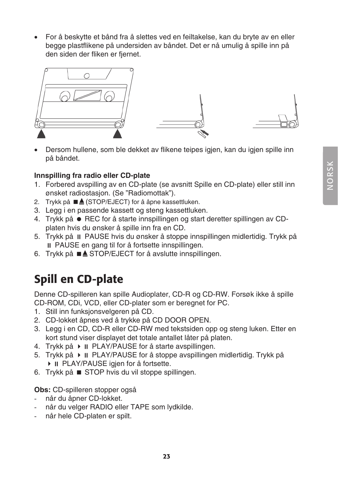For å beskytte et bånd fra å slettes ved en feiltakelse, kan du bryte av en eller begge plastflikene på undersiden av båndet. Det er nå umulig å spille inn på den siden der fliken er fjernet.



Dersom hullene, som ble dekket av flikene teipes igjen, kan du igjen spille inn på båndet.

### **Innspilling fra radio eller CD-plate**

- 1. Forbered avspilling av en CD-plate (se avsnitt Spille en CD-plate) eller still inn ønsket radiostasjon. (Se "Radiomottak").
- 2. Trykk på ■▲ (STOP/EJECT) for å åpne kassettluken.
- 3. Legg i en passende kassett og steng kassettluken.
- 4. Trykk på REC for å starte innspillingen og start deretter spillingen av CDplaten hvis du ønsker å spille inn fra en CD.
- 5. Trykk på PAUSE hvis du ønsker å stoppe innspillingen midlertidig. Trykk på PAUSE en gang til for å fortsette innspillingen.
- 6. Trykk på  $\blacksquare$  **STOP/EJECT** for å avslutte innspillingen.

## Spill en CD-plate

Denne CD-spilleren kan spille Audioplater, CD-R og CD-RW. Forsøk ikke å spille CD-ROM, CDi, VCD, eller CD-plater som er beregnet for PC.

- 1. Still inn funksjonsvelgeren på CD.
- 2. CD-lokket åpnes ved å trykke på CD DOOR OPEN.
- 3. Legg i en CD, CD-R eller CD-RW med tekstsiden opp og steng luken. Etter en kort stund viser displayet det totale antallet låter på platen.
- 4. Trykk på ▶ II PLAY/PAUSE for å starte avspillingen.
- 5. Trykk på ▶ II PLAY/PAUSE for å stoppe avspillingen midlertidig. Trykk på ▶ II PLAY/PAUSE igjen for å fortsette.
- 6. Trykk på STOP hvis du vil stoppe spillingen.

### **Obs:** CD-spilleren stopper også

- når du åpner CD-lokket.
- når du velger RADIO eller TAPE som lydkilde.
- når hele CD-platen er spilt.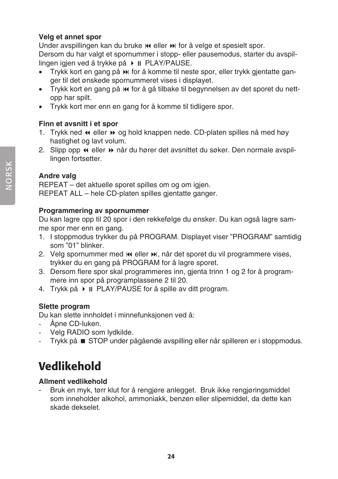### **Velg et annet spor**

Under avspillingen kan du bruke  $\mathsf{M}$  eller  $\mathsf{M}$  for å velge et spesielt spor. Dersom du har valgt et spornummer i stopp- eller pausemodus, starter du avspillingen igjen ved å trykke på ▶ II PLAY/PAUSE.

- Trykk kort en gang på  $\blacktriangleright$  for å komme til neste spor, eller trykk gjentatte ganger til det ønskede spornummeret vises i displayet.
- Trykk kort en gang på  $\mathsf{Id}$  for å gå tilbake til begynnelsen av det sporet du nettopp har spilt.
- Trykk kort mer enn en gang for å komme til tidligere spor.

### **Finn et avsnitt i et spor**

- 1. Trykk ned  $\triangleleft$  eller  $\triangleright$  og hold knappen nede. CD-platen spilles nå med høy hastighet og lavt volum.
- 2. Slipp opp  $\leftrightarrow$  eller  $\leftrightarrow$  når du hører det avsnittet du søker. Den normale avspillingen fortsetter.

### **Andre valg**

REPEAT – det aktuelle sporet spilles om og om igjen. REPEAT ALL – hele CD-platen spilles gjentatte ganger.

### **Programmering av spornummer**

Du kan lagre opp til 20 spor i den rekkefølge du ønsker. Du kan også lagre samme spor mer enn en gang.

- 1. I stoppmodus trykker du på PROGRAM. Displayet viser "PROGRAM" samtidig som "01" blinker.
- 2. Velg spornummer med  $\textsf{N}$ eller  $\textsf{N}$ , når det sporet du vil programmere vises, trykker du en gang på PROGRAM for å lagre sporet.
- 3. Dersom flere spor skal programmeres inn, gjenta trinn 1 og 2 for å programmere inn spor på programplassene 2 til 20.
- 4. Trykk på ▶ II PLAY/PAUSE for å spille av ditt program.

### **Slette program**

Du kan slette innholdet i minnefunksjonen ved å:

- Åpne CD-luken.
- Velg RADIO som lydkilde.
- Trykk på STOP under pågående avspilling eller når spilleren er i stoppmodus.

## Vedlikehold

### **Allment vedlikehold**

Bruk en myk, tørr klut for å rengjøre anlegget. Bruk ikke rengjøringsmiddel som inneholder alkohol, ammoniakk, benzen eller slipemiddel, da dette kan skade dekselet.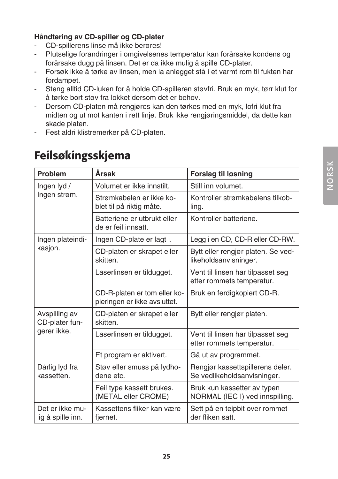### **Håndtering av CD-spiller og CD-plater**

- CD-spillerens linse må ikke berøres!
- Plutselige forandringer i omgivelsenes temperatur kan forårsake kondens og forårsake dugg på linsen. Det er da ikke mulig å spille CD-plater.
- Forsøk ikke å tørke av linsen, men la anlegget stå i et varmt rom til fukten har fordampet.
- Steng alltid CD-luken for å holde CD-spilleren støvfri. Bruk en myk, tørr klut for å tørke bort støv fra lokket dersom det er behov.
- Dersom CD-platen må rengjøres kan den tørkes med en myk, lofri klut fra midten og ut mot kanten i rett linje. Bruk ikke rengjøringsmiddel, da dette kan skade platen.
- Fest aldri klistremerker på CD-platen.

## Feilsøkingsskjema

| <b>Problem</b>                                 | Årsak                                                        | <b>Forslag til løsning</b>                                      |
|------------------------------------------------|--------------------------------------------------------------|-----------------------------------------------------------------|
| Ingen lyd /<br>Ingen strøm.                    | Volumet er ikke innstilt.                                    | Still inn volumet.                                              |
|                                                | Strømkabelen er ikke ko-<br>blet til på riktig måte.         | Kontroller strømkabelens tilkob-<br>ling.                       |
|                                                | Batteriene er utbrukt eller<br>de er feil innsatt.           | Kontroller batteriene.                                          |
| Ingen plateindi-                               | Ingen CD-plate er lagt i.                                    | Legg i en CD, CD-R eller CD-RW.                                 |
| kasjon.                                        | CD-platen er skrapet eller<br>skitten.                       | Bytt eller rengjør platen. Se ved-<br>likeholdsanvisninger.     |
|                                                | Laserlinsen er tildugget.                                    | Vent til linsen har tilpasset seg<br>etter rommets temperatur.  |
|                                                | CD-R-platen er tom eller ko-<br>pieringen er ikke avsluttet. | Bruk en ferdigkopiert CD-R.                                     |
| Avspilling av<br>CD-plater fun-<br>gerer ikke. | CD-platen er skrapet eller<br>skitten.                       | Bytt eller rengjør platen.                                      |
|                                                | Laserlinsen er tildugget.                                    | Vent til linsen har tilpasset seg<br>etter rommets temperatur.  |
|                                                | Et program er aktivert.                                      | Gå ut av programmet.                                            |
| Dårlig lyd fra<br>kassetten.                   | Støv eller smuss på lydho-<br>dene etc.                      | Rengjør kassettspillerens deler.<br>Se vedlikeholdsanvisninger. |
|                                                | Feil type kassett brukes.<br>(METAL eller CROME)             | Bruk kun kassetter av typen<br>NORMAL (IEC I) ved innspilling.  |
| Det er ikke mu-<br>lig å spille inn.           | Kassettens fliker kan være<br>fjernet.                       | Sett på en teipbit over rommet<br>der fliken satt.              |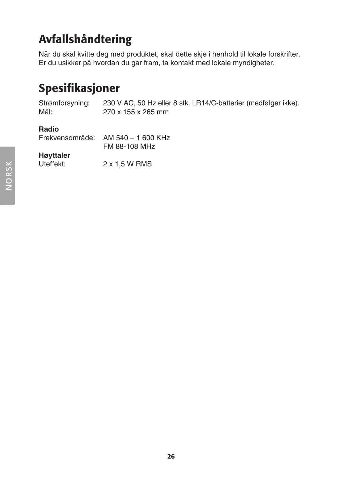## Avfallshåndtering

Når du skal kvitte deg med produktet, skal dette skje i henhold til lokale forskrifter. Er du usikker på hvordan du går fram, ta kontakt med lokale myndigheter.

## Spesifikasjoner

Strømforsyning: 230 V AC, 50 Hz eller 8 stk. LR14/C-batterier (medfølger ikke). 270 x 155 x 265 mm

### **Radio**

| Frekvensområde: AM 540 – 1 600 KHz |
|------------------------------------|
| FM 88-108 MHz                      |

**Høyttaler**

2 x 1,5 W RMS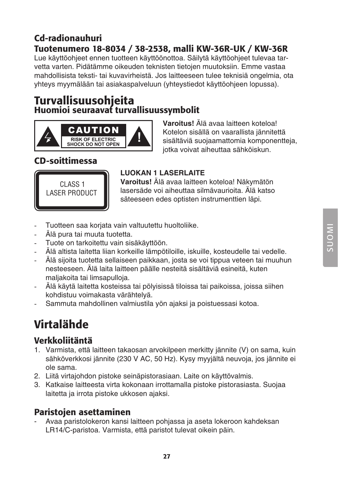### Cd-radionauhuri Tuotenumero 18-8034 / 38-2538, malli KW-36R-UK / KW-36R Lue käyttöohjeet ennen tuotteen käyttöönottoa. Säilytä käyttöohjeet tulevaa tarvetta varten. Pidätämme oikeuden teknisten tietojen muutoksiin. Emme vastaa mahdollisista teksti- tai kuvavirheistä. Jos laitteeseen tulee teknisiä ongelmia, ota yhteys myymälään tai asiakaspalveluun (yhteystiedot käyttöohjeen lopussa).

### Turvallisuusohjeita Huomioi seuraavat turvallisuussymbolit



**Varoitus!** Älä avaa laitteen koteloa! Kotelon sisällä on vaarallista jännitettä sisältäviä suojaamattomia komponentteja, jotka voivat aiheuttaa sähköiskun.

### CD-soittimessa



### **LUOKAN 1 LASERLAITE**

**Varoitus!** Älä avaa laitteen koteloa! Näkymätön lasersäde voi aiheuttaa silmävaurioita. Älä katso säteeseen edes optisten instrumenttien läpi.

- Tuotteen saa korjata vain valtuutettu huoltoliike.
- Älä pura tai muuta tuotetta.
- Tuote on tarkoitettu vain sisäkäyttöön.
- Alä altista laitetta liian korkeille lämpötiloille, iskuille, kosteudelle tai vedelle.
- Älä sijoita tuotetta sellaiseen paikkaan, josta se voi tippua veteen tai muuhun nesteeseen. Älä laita laitteen päälle nesteitä sisältäviä esineitä, kuten maljakoita tai limsapulloja.
- Älä käytä laitetta kosteissa tai pölyisissä tiloissa tai paikoissa, joissa siihen kohdistuu voimakasta värähtelyä.
- Sammuta mahdollinen valmiustila yön ajaksi ja poistuessasi kotoa.

## Virtalähde

### Verkkoliitäntä

- 1. Varmista, että laitteen takaosan arvokilpeen merkitty jännite (V) on sama, kuin sähköverkkosi jännite (230 V AC, 50 Hz). Kysy myyjältä neuvoja, jos jännite ei ole sama.
- 2. Liitä virtajohdon pistoke seinäpistorasiaan. Laite on käyttövalmis.
- 3. Katkaise laitteesta virta kokonaan irrottamalla pistoke pistorasiasta. Suojaa laitetta ja irrota pistoke ukkosen ajaksi.

### Paristojen asettaminen

- Avaa paristolokeron kansi laitteen pohjassa ja aseta lokeroon kahdeksan LR14/C-paristoa. Varmista, että paristot tulevat oikein päin.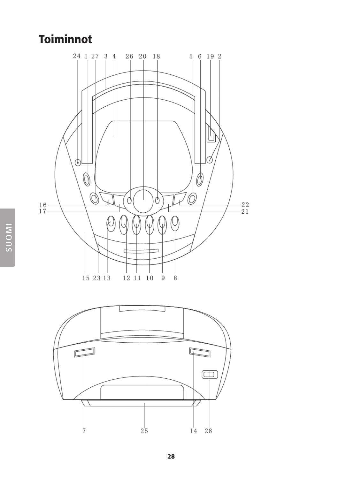## **Toiminnot**



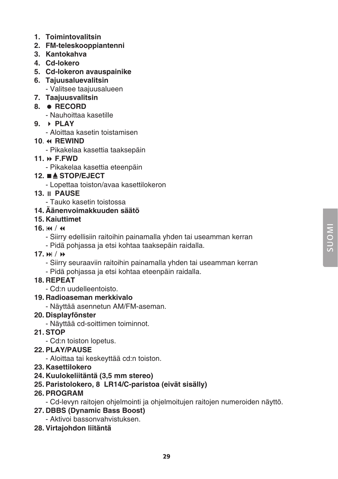- **1. Toimintovalitsin**
- **2. FM-teleskooppiantenni**
- **3. Kantokahva**
- **4. Cd-lokero**
- **5. Cd-lokeron avauspainike**
- **6. Tajuusaluevalitsin** - Valitsee taajuusalueen
- **7. Taajuusvalitsin**
- **8. RECORD**
	- Nauhoittaa kasetille
- **9. PLAY**
	- Aloittaa kasetin toistamisen
- **10.**  $\leftrightarrow$  **REWIND** 
	- Pikakelaa kasettia taaksepäin
- **11. F.FWD**
	- Pikakelaa kasettia eteenpäin
- **12. STOP/EJECT**
	- Lopettaa toiston/avaa kasettilokeron
- **13. PAUSE**
	- Tauko kasetin toistossa
- **14. Äänenvoimakkuuden säätö**
- **15. Kaiuttimet**
- $16.14 / 44$ 
	- Siirry edellisiin raitoihin painamalla yhden tai useamman kerran
	- Pidä pohjassa ja etsi kohtaa taaksepäin raidalla.
- 17. **M** / **M** 
	- Siirry seuraaviin raitoihin painamalla yhden tai useamman kerran
	- Pidä pohjassa ja etsi kohtaa eteenpäin raidalla.
- **18. REPEAT**
	- Cd:n uudelleentoisto.
- **19. Radioaseman merkkivalo**
	- Näyttää asennetun AM/FM-aseman.
- **20. Displayfönster**
	- Näyttää cd-soittimen toiminnot.
- **21. STOP**
	- Cd:n toiston lopetus.
- **22. PLAY/PAUSE**
	- Aloittaa tai keskeyttää cd:n toiston.
- **23. Kasettilokero**
- **24. Kuulokeliitäntä (3,5 mm stereo)**
- **25. Paristolokero, 8 LR14/C-paristoa (eivät sisälly)**
- **26. PROGRAM**
	- Cd-levyn raitojen ohjelmointi ja ohjelmoitujen raitojen numeroiden näyttö.
- **27. DBBS (Dynamic Bass Boost)**
	- Aktivoi bassonvahvistuksen.
- **28. Virtajohdon liitäntä**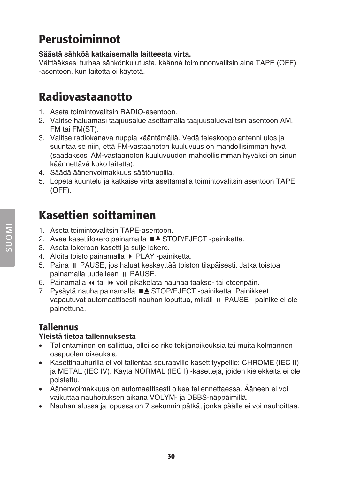## Perustoiminnot

### **Säästä sähköä katkaisemalla laitteesta virta.**

Välttääksesi turhaa sähkönkulutusta, käännä toiminnonvalitsin aina TAPE (OFF) -asentoon, kun laitetta ei käytetä.

## Radiovastaanotto

- 1. Aseta toimintovalitsin RADIO-asentoon.
- 2. Valitse haluamasi taajuusalue asettamalla taajuusaluevalitsin asentoon AM, FM tai FM(ST).
- 3. Valitse radiokanava nuppia kääntämällä. Vedä teleskooppiantenni ulos ja suuntaa se niin, että FM-vastaanoton kuuluvuus on mahdollisimman hyvä (saadaksesi AM-vastaanoton kuuluvuuden mahdollisimman hyväksi on sinun käännettävä koko laitetta).
- 4. Säädä äänenvoimakkuus säätönupilla.
- 5. Lopeta kuuntelu ja katkaise virta asettamalla toimintovalitsin asentoon TAPE (OFF).

## Kasettien soittaminen

- 1. Aseta toimintovalitsin TAPE-asentoon.
- 2. Avaa kasettilokero painamalla ■▲ STOP/EJECT -painiketta.
- 3. Aseta lokeroon kasetti ja sulje lokero.
- 4. Aloita toisto painamalla > PLAY -painiketta.
- 5. Paina PAUSE, jos haluat keskeyttää toiston tilapäisesti. Jatka toistoa painamalla uudelleen II PAUSE.
- 6. Painamalla  $\leftrightarrow$  tai  $\leftrightarrow$  voit pikakelata nauhaa taakse- tai eteenpäin.
- 7. Pysäytä nauha painamalla ■▲ STOP/EJECT -painiketta. Painikkeet vapautuvat automaattisesti nauhan loputtua, mikäli PAUSE -painike ei ole painettuna.

### **Tallennus**

### **Yleistä tietoa tallennuksesta**

- Tallentaminen on sallittua, ellei se riko tekijänoikeuksia tai muita kolmannen osapuolen oikeuksia.
- • Kasettinauhurilla ei voi tallentaa seuraaville kasettityypeille: CHROME (IEC II) ja METAL (IEC IV). Käytä NORMAL (IEC I) -kasetteja, joiden kielekkeitä ei ole poistettu.
- • Äänenvoimakkuus on automaattisesti oikea tallennettaessa. Ääneen ei voi vaikuttaa nauhoituksen aikana VOLYM- ja DBBS-näppäimillä.
- • Nauhan alussa ja lopussa on 7 sekunnin pätkä, jonka päälle ei voi nauhoittaa.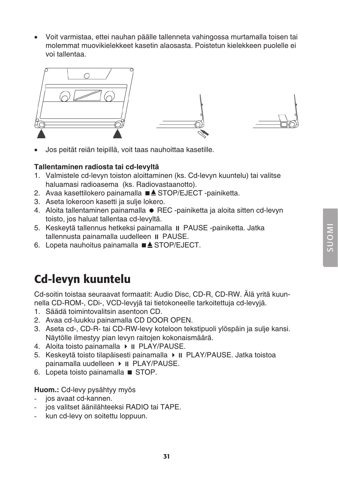• Voit varmistaa, ettei nauhan päälle tallenneta vahingossa murtamalla toisen tai molemmat muovikielekkeet kasetin alaosasta. Poistetun kielekkeen puolelle ei voi tallentaa.



Jos peität reiän teipillä, voit taas nauhoittaa kasetille.

### **Tallentaminen radiosta tai cd-levyltä**

- 1. Valmistele cd-levyn toiston aloittaminen (ks. Cd-levyn kuuntelu) tai valitse haluamasi radioasema (ks. Radiovastaanotto).
- 2. Avaa kasettilokero painamalla ■▲ STOP/EJECT -painiketta.
- 3. Aseta lokeroon kasetti ja sulje lokero.
- 4. Aloita tallentaminen painamalla REC -painiketta ja aloita sitten cd-levyn toisto, jos haluat tallentaa cd-levyltä.
- 5. Keskevtä tallennus hetkeksi painamalla **II** PAUSE -painiketta. Jatka tallennusta painamalla uudelleen II PAUSE.
- 6. Lopeta nauhoitus painamalla  $\blacksquare$  $\blacktriangle$  STOP/EJECT.

## Cd-levyn kuuntelu

Cd-soitin toistaa seuraavat formaatit: Audio Disc, CD-R, CD-RW. Älä yritä kuunnella CD-ROM-, CDi-, VCD-levyjä tai tietokoneelle tarkoitettuja cd-levyjä.

- 1. Säädä toimintovalitsin asentoon CD.
- 2. Avaa cd-luukku painamalla CD DOOR OPEN.
- 3. Aseta cd-, CD-R- tai CD-RW-levy koteloon tekstipuoli ylöspäin ja sulje kansi. Näytölle ilmestyy pian levyn raitojen kokonaismäärä.
- 4. Aloita toisto painamalla  $\triangleright$  II PLAY/PAUSE.
- 5. Keskeytä toisto tilapäisesti painamalla ▶ II PLAY/PAUSE. Jatka toistoa painamalla uudelleen  $\triangleright$  II PLAY/PAUSE.
- 6. Lopeta toisto painamalla STOP.

#### **Huom.:** Cd-levy pysähtyy myös

- ios avaat cd-kannen.
- ios valitset äänilähteeksi RADIO tai TAPE.
- kun cd-levy on soitettu loppuun.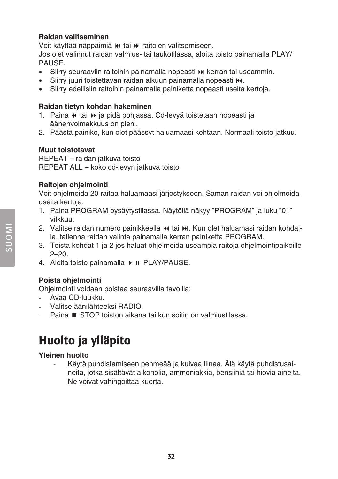### **Raidan valitseminen**

Voit käyttää näppäimiä  $\bf{H}$  tai  $\bf{M}$  raitojen valitsemiseen. Jos olet valinnut raidan valmius- tai taukotilassa, aloita toisto painamalla PLAY/ PAUSE**.**

- Siirry seuraaviin raitoihin painamalla nopeasti » kerran tai useammin.
- Siirry juuri toistettavan raidan alkuun painamalla nopeasti  $\mathsf{M}$ .
- Siirry edellisiin raitoihin painamalla painiketta nopeasti useita kertoja.

### **Raidan tietyn kohdan hakeminen**

- 1. Paina « tai » ja pidä pohjassa. Cd-levyä toistetaan nopeasti ja äänenvoimakkuus on pieni.
- 2. Päästä painike, kun olet päässyt haluamaasi kohtaan. Normaali toisto jatkuu.

### **Muut toistotavat**

REPEAT – raidan jatkuva toisto REPEAT ALL – koko cd-levyn jatkuva toisto

### **Raitojen ohjelmointi**

Voit ohjelmoida 20 raitaa haluamaasi järjestykseen. Saman raidan voi ohjelmoida useita kertoja.

- 1. Paina PROGRAM pysäytystilassa. Näytöllä näkyy "PROGRAM" ja luku "01" vilkkuu.
- 2. Valitse raidan numero painikkeella ku tai  $\blacktriangleright$ l. Kun olet haluamasi raidan kohdalla, tallenna raidan valinta painamalla kerran painiketta PROGRAM.
- 3. Toista kohdat 1 ja 2 jos haluat ohjelmoida useampia raitoja ohjelmointipaikoille  $2 - 20$
- 4. Aloita toisto painamalla  $\triangleright$  II PLAY/PAUSE.

### **Poista ohjelmointi**

Ohjelmointi voidaan poistaa seuraavilla tavoilla:

- Avaa CD-luukku.
- Valitse äänilähteeksi RADIO
- Paina STOP toiston aikana tai kun soitin on valmiustilassa.

## Huolto ja ylläpito

### **Yleinen huolto**

- Käytä puhdistamiseen pehmeää ja kuivaa liinaa. Älä käytä puhdistusaineita, jotka sisältävät alkoholia, ammoniakkia, bensiiniä tai hiovia aineita. Ne voivat vahingoittaa kuorta.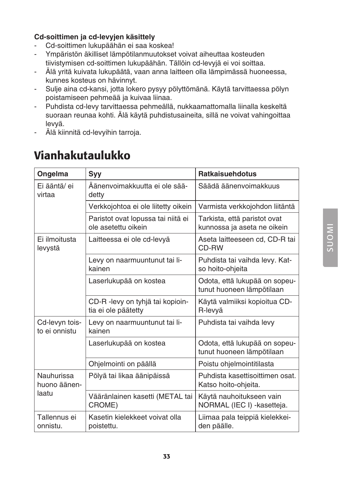### **Cd-soittimen ja cd-levyjen käsittely**

- Cd-soittimen lukupäähän ei saa koskea!
- Ympäristön äkilliset lämpötilanmuutokset voivat aiheuttaa kosteuden tiivistymisen cd-soittimen lukupäähän. Tällöin cd-levyjä ei voi soittaa.
- Älä yritä kuivata lukupäätä, vaan anna laitteen olla lämpimässä huoneessa, kunnes kosteus on hävinnyt.
- Sulje aina cd-kansi, jotta lokero pysyy pölyttömänä. Käytä tarvittaessa pölyn poistamiseen pehmeää ja kuivaa liinaa.
- Puhdista cd-levy tarvittaessa pehmeällä, nukkaamattomalla liinalla keskeltä suoraan reunaa kohti. Älä käytä puhdistusaineita, sillä ne voivat vahingoittaa levyä.
- Älä kiinnitä cd-levyihin tarroja.

| Ongelma                             | <b>Syy</b>                                                | <b>Ratkaisuehdotus</b>                                      |
|-------------------------------------|-----------------------------------------------------------|-------------------------------------------------------------|
| Ei ääntä/ ei<br>virtaa              | Äänenvoimakkuutta ei ole sää-<br>detty                    | Säädä äänenvoimakkuus                                       |
|                                     | Verkkojohtoa ei ole liitetty oikein                       | Varmista verkkojohdon liitäntä                              |
|                                     | Paristot ovat lopussa tai niitä ei<br>ole asetettu oikein | Tarkista, että paristot ovat<br>kunnossa ja aseta ne oikein |
| Ei ilmoitusta<br>levystä            | Laitteessa ei ole cd-levyä                                | Aseta laitteeseen cd, CD-R tai<br>CD-RW                     |
|                                     | Levy on naarmuuntunut tai li-<br>kainen                   | Puhdista tai vaihda levy. Kat-<br>so hoito-ohjeita          |
|                                     | Laserlukupää on kostea                                    | Odota, että lukupää on sopeu-<br>tunut huoneen lämpötilaan  |
|                                     | CD-R -levy on tyhjä tai kopioin-<br>tia ei ole päätetty   | Käytä valmiiksi kopioitua CD-<br>R-levyä                    |
| Cd-levyn tois-<br>to ei onnistu     | Levy on naarmuuntunut tai li-<br>kainen                   | Puhdista tai vaihda levy                                    |
|                                     | Laserlukupää on kostea                                    | Odota, että lukupää on sopeu-<br>tunut huoneen lämpötilaan  |
|                                     | Ohjelmointi on päällä                                     | Poistu ohjelmointitilasta                                   |
| Nauhurissa<br>huono äänen-<br>laatu | Pölyä tai likaa äänipäissä                                | Puhdista kasettisoittimen osat.<br>Katso hoito-ohjeita.     |
|                                     | Vääränlainen kasetti (METAL tai<br>CROME)                 | Käytä nauhoitukseen vain<br>NORMAL (IEC I) - kasetteja.     |
| Tallennus ei<br>onnistu.            | Kasetin kielekkeet voivat olla<br>poistettu.              | Liimaa pala teippiä kielekkei-<br>den päälle.               |

## Vianhakutaulukko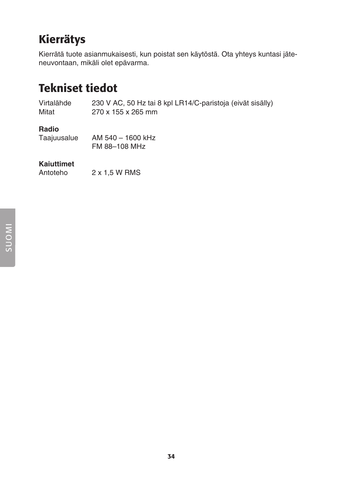## Kierrätys

Kierrätä tuote asianmukaisesti, kun poistat sen käytöstä. Ota yhteys kuntasi jäteneuvontaan, mikäli olet epävarma.

## Tekniset tiedot

Virtalähde 230 V AC, 50 Hz tai 8 kpl LR14/C-paristoja (eivät sisälly) 270 x 155 x 265 mm

### **Radio**

| Taajuusalue | AM 540 - 1600 kHz |
|-------------|-------------------|
|             | FM 88-108 MHz     |

## **Kaiuttimet**

 $2 \times 1.5$  W RMS